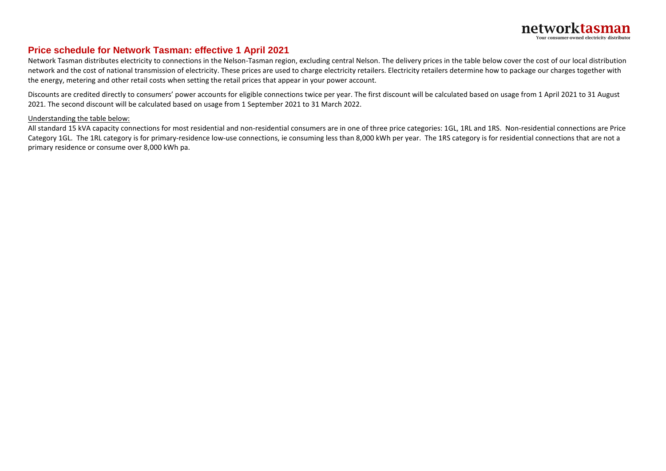## **Price schedule for Network Tasman: effective 1 April 2021**

 Network Tasman distributes electricity to connections in the Nelson-Tasman region, excluding central Nelson. The delivery prices in the table below cover the cost of our local distribution network and the cost of national transmission of electricity. These prices are used to charge electricity retailers. Electricity retailers determine how to package our charges together with the energy, metering and other retail costs when setting the retail prices that appear in your power account.

Discounts are credited directly to consumers' power accounts for eligible connections twice per year. The first discount will be calculated based on usage from 1 April 2021 to 31 August 2021. The second discount will be calculated based on usage from 1 September 2021 to 31 March 2022.

## Understanding the table below:

All standard 15 kVA capacity connections for most residential and non-residential consumers are in one of three price categories: 1GL, 1RL and 1RS. Non-residential connections are Price Category 1GL. The 1RL category is for primary-residence low-use connections, ie consuming less than 8,000 kWh per year. The 1RS category is for residential connections that are not a primary residence or consume over 8,000 kWh pa.